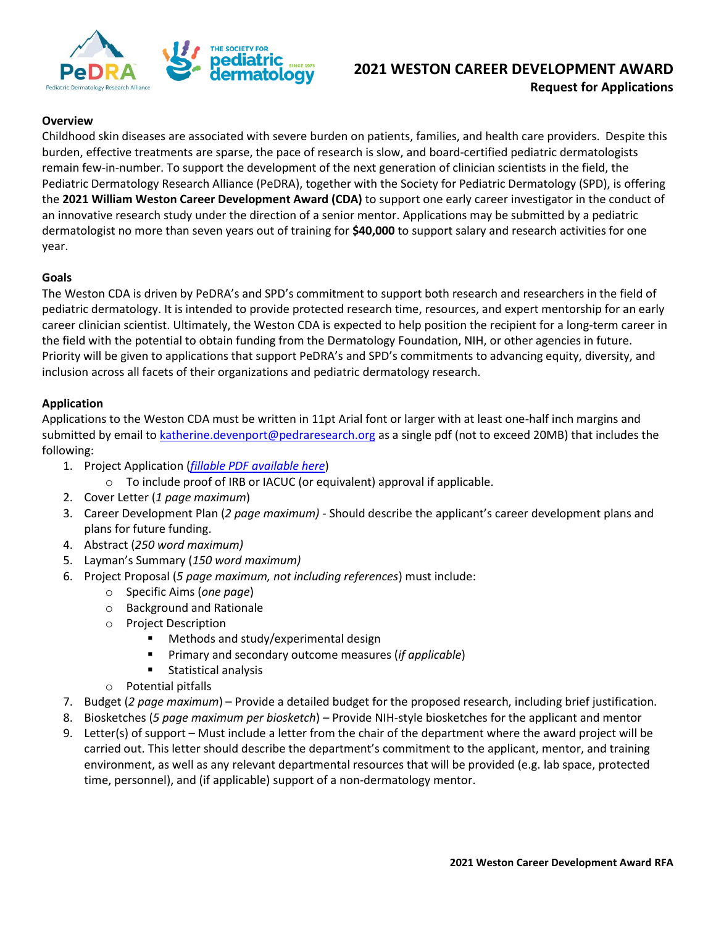

# **2021 WESTON CAREER DEVELOPMENT AWARD Request for Applications**

#### **Overview**

Childhood skin diseases are associated with severe burden on patients, families, and health care providers. Despite this burden, effective treatments are sparse, the pace of research is slow, and board-certified pediatric dermatologists remain few-in-number. To support the development of the next generation of clinician scientists in the field, the Pediatric Dermatology Research Alliance (PeDRA), together with the Society for Pediatric Dermatology (SPD), is offering the **2021 William Weston Career Development Award (CDA)** to support one early career investigator in the conduct of an innovative research study under the direction of a senior mentor. Applications may be submitted by a pediatric dermatologist no more than seven years out of training for **\$40,000** to support salary and research activities for one year.

#### **Goals**

The Weston CDA is driven by PeDRA's and SPD's commitment to support both research and researchers in the field of pediatric dermatology. It is intended to provide protected research time, resources, and expert mentorship for an early career clinician scientist. Ultimately, the Weston CDA is expected to help position the recipient for a long-term career in the field with the potential to obtain funding from the Dermatology Foundation, NIH, or other agencies in future. Priority will be given to applications that support PeDRA's and SPD's commitments to advancing equity, diversity, and inclusion across all facets of their organizations and pediatric dermatology research.

#### **Application**

Applications to the Weston CDA must be written in 11pt Arial font or larger with at least one-half inch margins and submitted by email t[o katherine.devenport@pedraresearch.org](mailto:katherine.devenport@pedraresearch.org) as a single pdf (not to exceed 20MB) that includes the following:

- 1. Project Application (*[fillable PDF](https://pedraresearch.org/wp-content/uploads/2021/08/2021-Weston-CDA-App.pdf) available here*)
	- o To include proof of IRB or IACUC (or equivalent) approval if applicable.
- 2. Cover Letter (*1 page maximum*)
- 3. Career Development Plan (*2 page maximum) -* Should describe the applicant's career development plans and plans for future funding.
- 4. Abstract (*250 word maximum)*
- 5. Layman's Summary (*150 word maximum)*
- 6. Project Proposal (*5 page maximum, not including references*) must include:
	- o Specific Aims (*one page*)
	- o Background and Rationale
	- o Project Description
		- Methods and study/experimental design
		- Primary and secondary outcome measures (*if applicable*)
		- Statistical analysis
	- o Potential pitfalls
- 7. Budget (*2 page maximum*) Provide a detailed budget for the proposed research, including brief justification.
- 8. Biosketches (*5 page maximum per biosketch*) Provide NIH-style biosketches for the applicant and mentor
- 9. Letter(s) of support Must include a letter from the chair of the department where the award project will be carried out. This letter should describe the department's commitment to the applicant, mentor, and training environment, as well as any relevant departmental resources that will be provided (e.g. lab space, protected time, personnel), and (if applicable) support of a non-dermatology mentor.